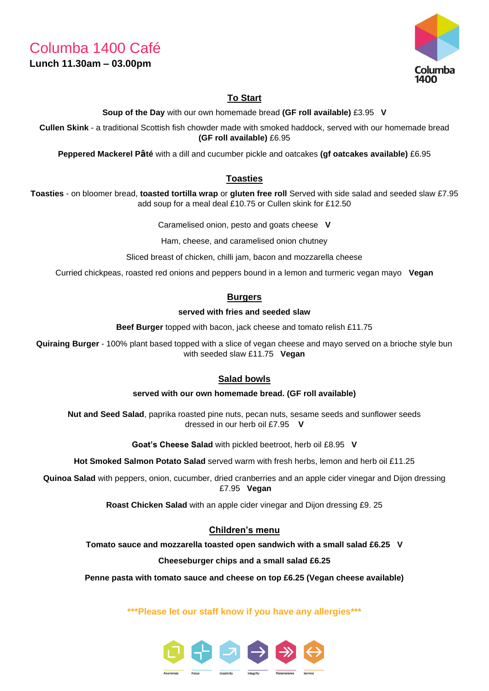Columba 1400 Café

## **Lunch 11.30am – 03.00pm**



# **To Start**

**Soup of the Day** with our own homemade bread **(GF roll available)** £3.95 **V**

**Cullen Skink** - a traditional Scottish fish chowder made with smoked haddock, served with our homemade bread **(GF roll available)** £6.95

**Peppered Mackerel Pâté** with a dill and cucumber pickle and oatcakes **(gf oatcakes available)** £6.95

## **Toasties**

**Toasties** - on bloomer bread, **toasted tortilla wrap** or **gluten free roll** Served with side salad and seeded slaw £7.95 add soup for a meal deal £10.75 or Cullen skink for £12.50

Caramelised onion, pesto and goats cheese **V**

Ham, cheese, and caramelised onion chutney

Sliced breast of chicken, chilli jam, bacon and mozzarella cheese

Curried chickpeas, roasted red onions and peppers bound in a lemon and turmeric vegan mayo **Vegan**

## **Burgers**

#### **served with fries and seeded slaw**

**Beef Burger** topped with bacon, jack cheese and tomato relish £11.75

**Quiraing Burger** - 100% plant based topped with a slice of vegan cheese and mayo served on a brioche style bun with seeded slaw £11.75 **Vegan**

## **Salad bowls**

#### **served with our own homemade bread. (GF roll available)**

**Nut and Seed Salad**, paprika roasted pine nuts, pecan nuts, sesame seeds and sunflower seeds dressed in our herb oil £7.95 **V**

**Goat's Cheese Salad** with pickled beetroot, herb oil £8.95 **V**

**Hot Smoked Salmon Potato Salad** served warm with fresh herbs, lemon and herb oil £11.25

**Quinoa Salad** with peppers, onion, cucumber, dried cranberries and an apple cider vinegar and Dijon dressing £7.95 **Vegan**

**Roast Chicken Salad** with an apple cider vinegar and Dijon dressing £9. 25

## **Children's menu**

**Tomato sauce and mozzarella toasted open sandwich with a small salad £6.25 V**

**Cheeseburger chips and a small salad £6.25**

**Penne pasta with tomato sauce and cheese on top £6.25 (Vegan cheese available)**

**\*\*\*Please let our staff know if you have any allergies\*\*\***